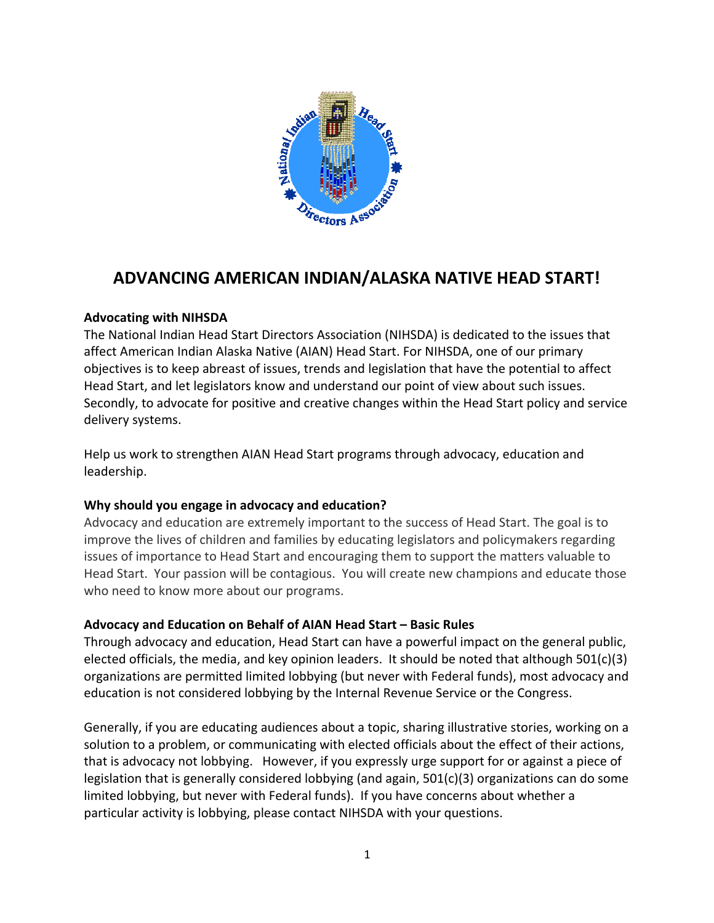

# **ADVANCING AMERICAN INDIAN/ALASKA NATIVE HEAD START!**

### **Advocating with NIHSDA**

The National Indian Head Start Directors Association (NIHSDA) is dedicated to the issues that affect American Indian Alaska Native (AIAN) Head Start. For NIHSDA, one of our primary objectives is to keep abreast of issues, trends and legislation that have the potential to affect Head Start, and let legislators know and understand our point of view about such issues. Secondly, to advocate for positive and creative changes within the Head Start policy and service delivery systems.

Help us work to strengthen AIAN Head Start programs through advocacy, education and leadership.

## **Why should you engage in advocacy and education?**

Advocacy and education are extremely important to the success of Head Start. The goal is to improve the lives of children and families by educating legislators and policymakers regarding issues of importance to Head Start and encouraging them to support the matters valuable to Head Start. Your passion will be contagious. You will create new champions and educate those who need to know more about our programs.

## **Advocacy and Education on Behalf of AIAN Head Start – Basic Rules**

Through advocacy and education, Head Start can have a powerful impact on the general public, elected officials, the media, and key opinion leaders. It should be noted that although 501(c)(3) organizations are permitted limited lobbying (but never with Federal funds), most advocacy and education is not considered lobbying by the Internal Revenue Service or the Congress.

Generally, if you are educating audiences about a topic, sharing illustrative stories, working on a solution to a problem, or communicating with elected officials about the effect of their actions, that is advocacy not lobbying. However, if you expressly urge support for or against a piece of legislation that is generally considered lobbying (and again, 501(c)(3) organizations can do some limited lobbying, but never with Federal funds). If you have concerns about whether a particular activity is lobbying, please contact NIHSDA with your questions.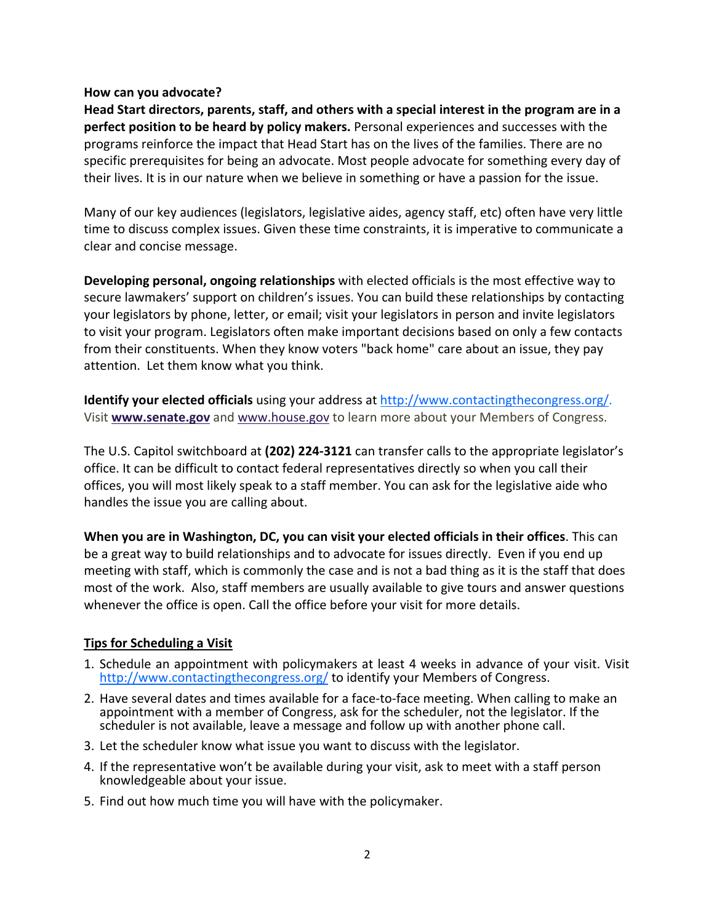#### **How can you advocate?**

**Head Start directors, parents, staff, and others with a special interest in the program are in a perfect position to be heard by policy makers.** Personal experiences and successes with the programs reinforce the impact that Head Start has on the lives of the families. There are no specific prerequisites for being an advocate. Most people advocate for something every day of their lives. It is in our nature when we believe in something or have a passion for the issue.

Many of our key audiences (legislators, legislative aides, agency staff, etc) often have very little time to discuss complex issues. Given these time constraints, it is imperative to communicate a clear and concise message.

**Developing personal, ongoing relationships** with elected officials is the most effective way to secure lawmakers' support on children's issues. You can build these relationships by contacting your legislators by phone, letter, or email; visit your legislators in person and invite legislators to visit your program. Legislators often make important decisions based on only a few contacts from their constituents. When they know voters "back home" care about an issue, they pay attention. Let them know what you think.

**Identify your elected officials** using your address at http://www.contactingthecongress.org/. Visit **www.senate.gov** and www.house.gov to learn more about your Members of Congress.

The U.S. Capitol switchboard at **(202) 224‐3121** can transfer calls to the appropriate legislator's office. It can be difficult to contact federal representatives directly so when you call their offices, you will most likely speak to a staff member. You can ask for the legislative aide who handles the issue you are calling about.

**When you are in Washington, DC, you can visit your elected officials in their offices**. This can be a great way to build relationships and to advocate for issues directly. Even if you end up meeting with staff, which is commonly the case and is not a bad thing as it is the staff that does most of the work. Also, staff members are usually available to give tours and answer questions whenever the office is open. Call the office before your visit for more details.

## **Tips for Scheduling a Visit**

- 1. Schedule an appointment with policymakers at least 4 weeks in advance of your visit. Visit http://www.contactingthecongress.org/ to identify your Members of Congress.
- 2. Have several dates and times available for a face‐to‐face meeting. When calling to make an appointment with a member of Congress, ask for the scheduler, not the legislator. If the scheduler is not available, leave a message and follow up with another phone call.
- 3. Let the scheduler know what issue you want to discuss with the legislator.
- 4. If the representative won't be available during your visit, ask to meet with a staff person knowledgeable about your issue.
- 5. Find out how much time you will have with the policymaker.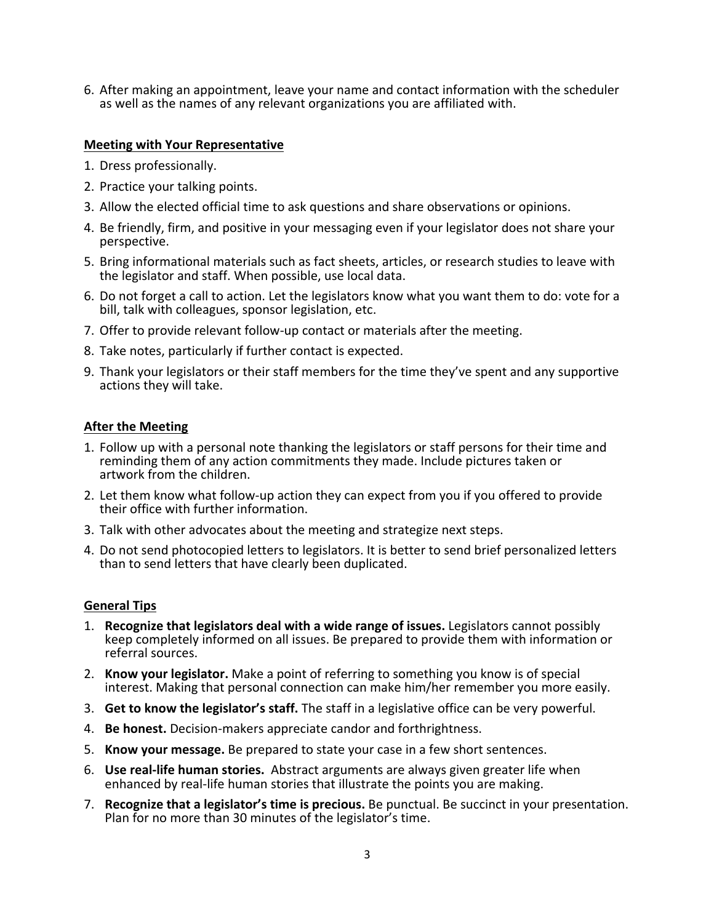6. After making an appointment, leave your name and contact information with the scheduler as well as the names of any relevant organizations you are affiliated with.

#### **Meeting with Your Representative**

- 1. Dress professionally.
- 2. Practice your talking points.
- 3. Allow the elected official time to ask questions and share observations or opinions.
- 4. Be friendly, firm, and positive in your messaging even if your legislator does not share your perspective.
- 5. Bring informational materials such as fact sheets, articles, or research studies to leave with the legislator and staff. When possible, use local data.
- 6. Do not forget a call to action. Let the legislators know what you want them to do: vote for a bill, talk with colleagues, sponsor legislation, etc.
- 7. Offer to provide relevant follow‐up contact or materials after the meeting.
- 8. Take notes, particularly if further contact is expected.
- 9. Thank your legislators or their staff members for the time they've spent and any supportive actions they will take.

#### **After the Meeting**

- 1. Follow up with a personal note thanking the legislators or staff persons for their time and reminding them of any action commitments they made. Include pictures taken or artwork from the children.
- 2. Let them know what follow‐up action they can expect from you if you offered to provide their office with further information.
- 3. Talk with other advocates about the meeting and strategize next steps.
- 4. Do not send photocopied letters to legislators. It is better to send brief personalized letters than to send letters that have clearly been duplicated.

#### **General Tips**

- 1. **Recognize that legislators deal with a wide range of issues.** Legislators cannot possibly keep completely informed on all issues. Be prepared to provide them with information or referral sources.
- 2. **Know your legislator.** Make a point of referring to something you know is of special interest. Making that personal connection can make him/her remember you more easily.
- 3. **Get to know the legislator's staff.** The staff in a legislative office can be very powerful.
- 4. **Be honest.** Decision‐makers appreciate candor and forthrightness.
- 5. **Know your message.** Be prepared to state your case in a few short sentences.
- 6. **Use real‐life human stories.** Abstract arguments are always given greater life when enhanced by real‐life human stories that illustrate the points you are making.
- 7. **Recognize that a legislator's time is precious.** Be punctual. Be succinct in your presentation. Plan for no more than 30 minutes of the legislator's time.